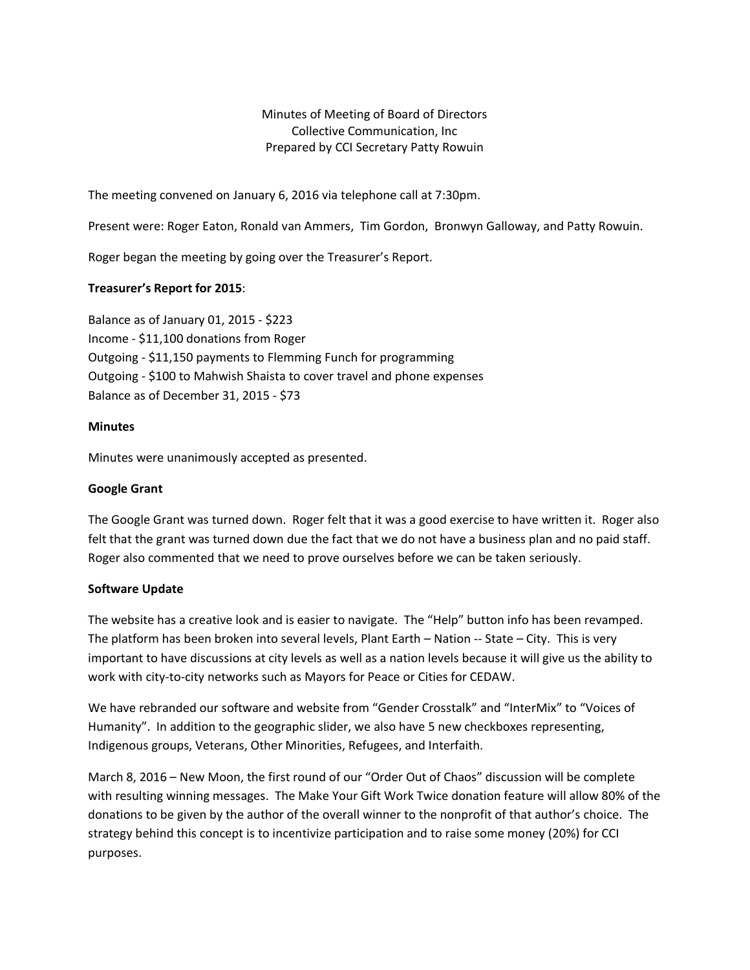Minutes of Meeting of Board of Directors Collective Communication, Inc Prepared by CCI Secretary Patty Rowuin

The meeting convened on January 6, 2016 via telephone call at 7:30pm.

Present were: Roger Eaton, Ronald van Ammers, Tim Gordon, Bronwyn Galloway, and Patty Rowuin.

Roger began the meeting by going over the Treasurer's Report.

### **Treasurer's Report for 2015**:

Balance as of January 01, 2015 - \$223 Income - \$11,100 donations from Roger Outgoing - \$11,150 payments to Flemming Funch for programming Outgoing - \$100 to Mahwish Shaista to cover travel and phone expenses Balance as of December 31, 2015 - \$73

### **Minutes**

Minutes were unanimously accepted as presented.

### **Google Grant**

The Google Grant was turned down. Roger felt that it was a good exercise to have written it. Roger also felt that the grant was turned down due the fact that we do not have a business plan and no paid staff. Roger also commented that we need to prove ourselves before we can be taken seriously.

## **Software Update**

The website has a creative look and is easier to navigate. The "Help" button info has been revamped. The platform has been broken into several levels, Plant Earth – Nation -- State – City. This is very important to have discussions at city levels as well as a nation levels because it will give us the ability to work with city-to-city networks such as Mayors for Peace or Cities for CEDAW.

We have rebranded our software and website from "Gender Crosstalk" and "InterMix" to "Voices of Humanity". In addition to the geographic slider, we also have 5 new checkboxes representing, Indigenous groups, Veterans, Other Minorities, Refugees, and Interfaith.

March 8, 2016 – New Moon, the first round of our "Order Out of Chaos" discussion will be complete with resulting winning messages. The Make Your Gift Work Twice donation feature will allow 80% of the donations to be given by the author of the overall winner to the nonprofit of that author's choice. The strategy behind this concept is to incentivize participation and to raise some money (20%) for CCI purposes.